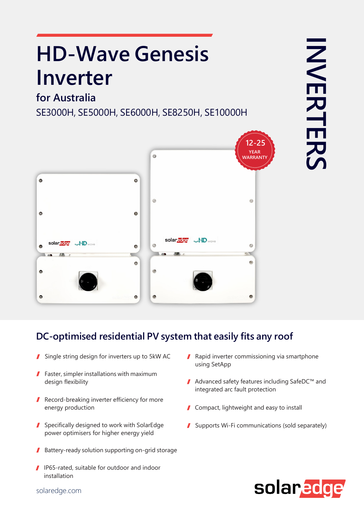# **HD-Wave Genesis Inverter**

## **for Australia**

SE3000H, SE5000H, SE6000H, SE8250H, SE10000H



#### **DC-optimised residential PV system that easily fits any roof**

- Single string design for inverters up to 5kW AC
- **Faster, simpler installations with maximum** design flexibility
- Record-breaking inverter efficiency for more energy production
- Specifically designed to work with SolarEdge power optimisers for higher energy yield
- Battery-ready solution supporting on-grid storage 1
- I IP65-rated, suitable for outdoor and indoor installation
- Rapid inverter commissioning via smartphone using SetApp
- Advanced safety features including SafeDC™ and integrated arc fault protection
- Compact, lightweight and easy to install
- Supports Wi-Fi communications (sold separately)



solaredge.com